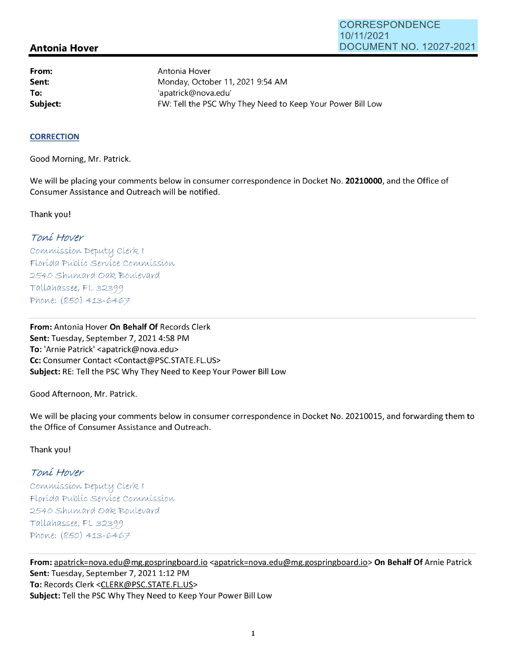# **Antonia Hover**

**From: Sent: To:** 

Antonia Hover Monday, October 11, 2021 9:54 AM 'a patrick@nova.edu' **Subject: EXALG:** FW: Tell the PSC Why They Need to Keep Your Power Bill Low

### **CORRECTION**

Good Morning, Mr. Patrick.

We will be placing your comments below in consumer correspondence in Docket No. **20210000,** and the Office of Consumer Assistance and Outreach will be notified.

Thank you!

# Toni Hover

Commission Deputy Clerk I Florída Publíc Servíce Commission 2540 Shumard Oak Boulevard Tallahassee, FL32399 Phone:  $(850)$  413-6467

**From:** Antonia Hover **On Behalf Of** Records Clerk **Sent:** Tuesday, September 7, 20214:58 PM **To:** 'Arnie Patrick' <apatrick@nova.edu> **Cc:** Consumer Contact <Contact@PSC.STATE.FL.US> **Subject:** RE: Tell the PSC Why They Need to Keep Your Power Bill Low

Good Afternoon, Mr. Patrick.

We will be placing your comments below in consumer correspondence in Docket No. 20210015, and forwarding them to the Office of Consumer Assistance and Outreach.

#### Thank you!

## Toni Hover

Commission Deputy Clerk I Florída Publíc Servíce Commission 2540 Shumard Oak Boulevard Tallahassee, FL 32399 Phone:  $(850)$  413-6467

**From:** apatrick=nova.edu@mg.gospringboard.io <apatrick=nova.edu@mg.gospringboard.io> **On Behalf Of** Arnie Patrick **Sent:** Tuesday, September 7, 2021 1:12 PM **To:** Records Clerk <CLERK@PSC.STATE.FL.US> **Subject:** Tell the PSC Why They Need to Keep Your Power Bill Low